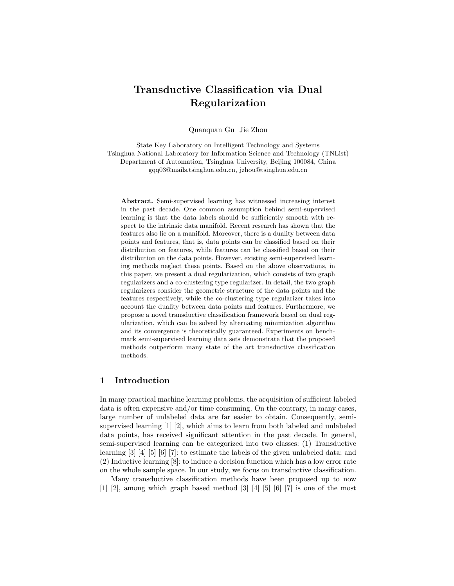# Transductive Classification via Dual Regularization

Quanquan Gu Jie Zhou

State Key Laboratory on Intelligent Technology and Systems Tsinghua National Laboratory for Information Science and Technology (TNList) Department of Automation, Tsinghua University, Beijing 100084, China gqq03@mails.tsinghua.edu.cn, jzhou@tsinghua.edu.cn

Abstract. Semi-supervised learning has witnessed increasing interest in the past decade. One common assumption behind semi-supervised learning is that the data labels should be sufficiently smooth with respect to the intrinsic data manifold. Recent research has shown that the features also lie on a manifold. Moreover, there is a duality between data points and features, that is, data points can be classified based on their distribution on features, while features can be classified based on their distribution on the data points. However, existing semi-supervised learning methods neglect these points. Based on the above observations, in this paper, we present a dual regularization, which consists of two graph regularizers and a co-clustering type regularizer. In detail, the two graph regularizers consider the geometric structure of the data points and the features respectively, while the co-clustering type regularizer takes into account the duality between data points and features. Furthermore, we propose a novel transductive classification framework based on dual regularization, which can be solved by alternating minimization algorithm and its convergence is theoretically guaranteed. Experiments on benchmark semi-supervised learning data sets demonstrate that the proposed methods outperform many state of the art transductive classification methods.

## 1 Introduction

In many practical machine learning problems, the acquisition of sufficient labeled data is often expensive and/or time consuming. On the contrary, in many cases, large number of unlabeled data are far easier to obtain. Consequently, semisupervised learning [1] [2], which aims to learn from both labeled and unlabeled data points, has received significant attention in the past decade. In general, semi-supervised learning can be categorized into two classes: (1) Transductive learning [3] [4] [5] [6] [7]: to estimate the labels of the given unlabeled data; and (2) Inductive learning [8]: to induce a decision function which has a low error rate on the whole sample space. In our study, we focus on transductive classification.

Many transductive classification methods have been proposed up to now  $[1]$   $[2]$ , among which graph based method  $[3]$   $[4]$   $[5]$   $[6]$   $[7]$  is one of the most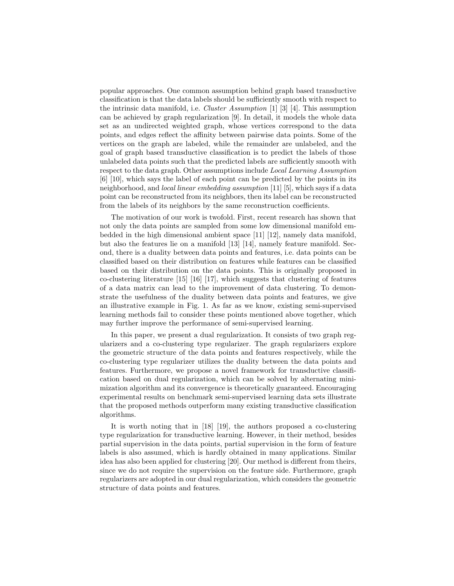popular approaches. One common assumption behind graph based transductive classification is that the data labels should be sufficiently smooth with respect to the intrinsic data manifold, i.e. Cluster Assumption [1] [3] [4]. This assumption can be achieved by graph regularization [9]. In detail, it models the whole data set as an undirected weighted graph, whose vertices correspond to the data points, and edges reflect the affinity between pairwise data points. Some of the vertices on the graph are labeled, while the remainder are unlabeled, and the goal of graph based transductive classification is to predict the labels of those unlabeled data points such that the predicted labels are sufficiently smooth with respect to the data graph. Other assumptions include Local Learning Assumption [6] [10], which says the label of each point can be predicted by the points in its neighborhood, and local linear embedding assumption [11] [5], which says if a data point can be reconstructed from its neighbors, then its label can be reconstructed from the labels of its neighbors by the same reconstruction coefficients.

The motivation of our work is twofold. First, recent research has shown that not only the data points are sampled from some low dimensional manifold embedded in the high dimensional ambient space [11] [12], namely data manifold, but also the features lie on a manifold [13] [14], namely feature manifold. Second, there is a duality between data points and features, i.e. data points can be classified based on their distribution on features while features can be classified based on their distribution on the data points. This is originally proposed in co-clustering literature  $[15]$   $[16]$   $[17]$ , which suggests that clustering of features of a data matrix can lead to the improvement of data clustering. To demonstrate the usefulness of the duality between data points and features, we give an illustrative example in Fig. 1. As far as we know, existing semi-supervised learning methods fail to consider these points mentioned above together, which may further improve the performance of semi-supervised learning.

In this paper, we present a dual regularization. It consists of two graph regularizers and a co-clustering type regularizer. The graph regularizers explore the geometric structure of the data points and features respectively, while the co-clustering type regularizer utilizes the duality between the data points and features. Furthermore, we propose a novel framework for transductive classification based on dual regularization, which can be solved by alternating minimization algorithm and its convergence is theoretically guaranteed. Encouraging experimental results on benchmark semi-supervised learning data sets illustrate that the proposed methods outperform many existing transductive classification algorithms.

It is worth noting that in [18] [19], the authors proposed a co-clustering type regularization for transductive learning. However, in their method, besides partial supervision in the data points, partial supervision in the form of feature labels is also assumed, which is hardly obtained in many applications. Similar idea has also been applied for clustering [20]. Our method is different from theirs, since we do not require the supervision on the feature side. Furthermore, graph regularizers are adopted in our dual regularization, which considers the geometric structure of data points and features.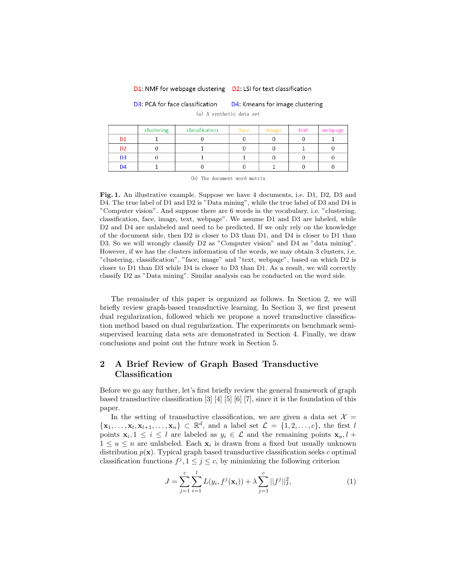#### D1: NMF for webpage clustering D2: LSI for text classification

D3: PCA for face classification D4: Kmeans for image clustering

(a) A synthetic data set

|                | clustering | classification | face | image | text | webpage |
|----------------|------------|----------------|------|-------|------|---------|
| D <sub>1</sub> |            |                |      |       |      |         |
| D <sub>2</sub> |            |                |      |       |      |         |
| D <sub>3</sub> |            |                |      |       |      |         |
| D4             |            |                |      |       |      |         |

(b) The document word matrix

Fig. 1. An illustrative example. Suppose we have 4 documents, i.e. D1, D2, D3 and D4. The true label of D1 and D2 is "Data mining", while the true label of D3 and D4 is "Computer vision". And suppose there are 6 words in the vocabulary, i.e. "clustering, classification, face, image, text, webpage". We assume D1 and D3 are labeled, while D2 and D4 are unlabeled and need to be predicted. If we only rely on the knowledge of the document side, then D2 is closer to D3 than D1, and D4 is closer to D1 than D3. So we will wrongly classify D2 as "Computer vision" and D4 as "data mining". However, if we has the clusters information of the words, we may obtain 3 clusters, i.e. "clustering, classification", "face, image" and "text, webpage", based on which D2 is closer to D1 than D3 while D4 is closer to D3 than D1. As a result, we will correctly classify D2 as "Data mining". Similar analysis can be conducted on the word side.

The remainder of this paper is organized as follows. In Section 2, we will briefly review graph-based transductive learning. In Section 3, we first present dual regularization, followed which we propose a novel transductive classification method based on dual regularization. The experiments on benchmark semisupervised learning data sets are demonstrated in Section 4. Finally, we draw conclusions and point out the future work in Section 5.

## 2 A Brief Review of Graph Based Transductive Classification

Before we go any further, let's first briefly review the general framework of graph based transductive classification [3] [4] [5] [6] [7], since it is the foundation of this paper.

In the setting of transductive classification, we are given a data set  $\mathcal{X} =$  $\{\mathbf x_1,\ldots,\mathbf x_l,\mathbf x_{l+1},\ldots,\mathbf x_n\} \subset \mathbb{R}^d$ , and a label set  $\mathcal{L} = \{1,2,\ldots,c\}$ , the first l points  $\mathbf{x}_i, 1 \leq i \leq l$  are labeled as  $y_i \in \mathcal{L}$  and the remaining points  $\mathbf{x}_u, l$  +  $1 \leq u \leq n$  are unlabeled. Each  $x_i$  is drawn from a fixed but usually unknown distribution  $p(x)$ . Typical graph based transductive classification seeks c optimal classification functions  $f^j, 1 \leq j \leq c$ , by minimizing the following criterion

$$
J = \sum_{j=1}^{c} \sum_{i=1}^{l} L(y_i, f^j(\mathbf{x}_i)) + \lambda \sum_{j=1}^{c} ||f^j||_I^2,
$$
 (1)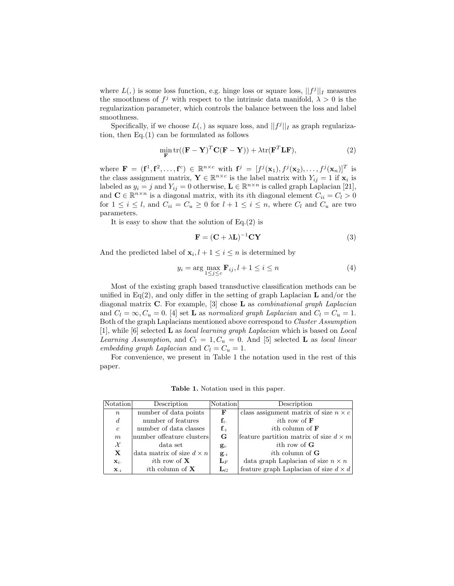where  $L($ , is some loss function, e.g. hinge loss or square loss,  $||f^j||_I$  measures the smoothness of  $f^j$  with respect to the intrinsic data manifold,  $\lambda > 0$  is the regularization parameter, which controls the balance between the loss and label smoothness.

Specifically, if we choose  $L(,)$  as square loss, and  $||f^j||_I$  as graph regularization, then Eq.(1) can be formulated as follows

$$
\min_{\mathbf{F}} \text{tr}((\mathbf{F} - \mathbf{Y})^T \mathbf{C} (\mathbf{F} - \mathbf{Y})) + \lambda \text{tr}(\mathbf{F}^T \mathbf{L} \mathbf{F}),
$$
\n(2)

where  $\mathbf{F} = (\mathbf{f}^1, \mathbf{f}^2, \dots, \mathbf{f}^c) \in \mathbb{R}^{n \times c}$  with  $\mathbf{f}^j = [f^j(\mathbf{x}_1), f^j(\mathbf{x}_2), \dots, f^j(\mathbf{x}_n)]^T$  is the class assignment matrix,  $\mathbf{Y} \in \mathbb{R}^{n \times c}$  is the label matrix with  $Y_{ij} = 1$  if  $\mathbf{x}_i$  is labeled as  $y_i = j$  and  $Y_{ij} = 0$  otherwise,  $\mathbf{L} \in \mathbb{R}^{n \times n}$  is called graph Laplacian [21], and  $\mathbf{C} \in \mathbb{R}^{n \times n}$  is a diagonal matrix, with its *i*th diagonal element  $C_{ii} = C_l > 0$ for  $1 \leq i \leq l$ , and  $C_{ii} = C_u \geq 0$  for  $l + 1 \leq i \leq n$ , where  $C_l$  and  $C_u$  are two parameters.

It is easy to show that the solution of Eq.(2) is

$$
\mathbf{F} = (\mathbf{C} + \lambda \mathbf{L})^{-1} \mathbf{C} \mathbf{Y}
$$
 (3)

And the predicted label of  $\mathbf{x}_i, l+1 \leq i \leq n$  is determined by

$$
y_i = \arg\max_{1 \le j \le c} \mathbf{F}_{ij}, l+1 \le i \le n \tag{4}
$$

Most of the existing graph based transductive classification methods can be unified in Eq(2), and only differ in the setting of graph Laplacian **L** and/or the diagonal matrix  $C$ . For example, [3] chose  $L$  as *combinational graph Laplacian* and  $C_l = \infty$ ,  $C_u = 0$ . [4] set **L** as normalized graph Laplacian and  $C_l = C_u = 1$ . Both of the graph Laplacians mentioned above correspond to Cluster Assumption [1], while [6] selected L as local learning graph Laplacian which is based on Local Learning Assumption, and  $C_l = 1, C_u = 0$ . And [5] selected **L** as local linear embedding graph Laplacian and  $C_l = C_u = 1$ .

For convenience, we present in Table 1 the notation used in the rest of this paper.

| Notation               | Description                      | Notation               | Description                                   |
|------------------------|----------------------------------|------------------------|-----------------------------------------------|
| $\boldsymbol{n}$       | number of data points            | F                      | class assignment matrix of size $n \times c$  |
| $\boldsymbol{d}$       | number of features               | $f_i$ .                | <i>i</i> th row of $\bf{F}$                   |
| $\boldsymbol{c}$       | number of data classes           | $\mathbf{f}_{\cdot i}$ | <i>i</i> th column of $\bf{F}$                |
| $\boldsymbol{m}$       | number offeature clusters        | G                      | feature partition matrix of size $d \times m$ |
| $\mathcal{X}$          | data set                         | $\mathbf{g}_i$ .       | <i>i</i> th row of $G$                        |
| $\mathbf X$            | data matrix of size $d \times n$ | $\mathbf{g}_{\cdot i}$ | <i>i</i> th column of $\bf{G}$                |
| $\mathbf{x}_i$ .       | <i>i</i> th row of $X$           | $\mathbf{L}_F$         | data graph Laplacian of size $n \times n$     |
| $\mathbf{x}_{\cdot i}$ | <i>i</i> th column of $X$        | $\mathbf{L}_G$         | feature graph Laplacian of size $d \times d$  |

Table 1. Notation used in this paper.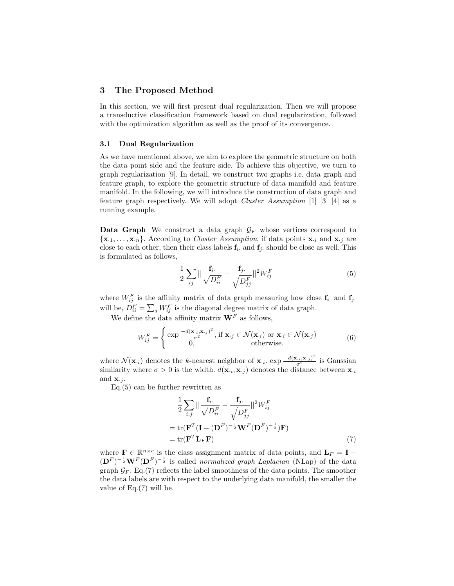## 3 The Proposed Method

In this section, we will first present dual regularization. Then we will propose a transductive classification framework based on dual regularization, followed with the optimization algorithm as well as the proof of its convergence.

#### 3.1 Dual Regularization

As we have mentioned above, we aim to explore the geometric structure on both the data point side and the feature side. To achieve this objective, we turn to graph regularization [9]. In detail, we construct two graphs i.e. data graph and feature graph, to explore the geometric structure of data manifold and feature manifold. In the following, we will introduce the construction of data graph and feature graph respectively. We will adopt Cluster Assumption [1] [3] [4] as a running example.

**Data Graph** We construct a data graph  $\mathcal{G}_F$  whose vertices correspond to  ${x_1, \ldots, x_n}$ . According to *Cluster Assumption*, if data points  $x_i$  and  $x_j$  are close to each other, then their class labels  $f_i$  and  $f_j$  should be close as well. This is formulated as follows,

$$
\frac{1}{2} \sum_{ij} ||\frac{\mathbf{f}_{i\cdot}}{\sqrt{D_{ii}^F}} - \frac{\mathbf{f}_{j\cdot}}{\sqrt{D_{jj}^F}}||^2 W_{ij}^F
$$
\n(5)

where  $W_{ij}^F$  is the affinity matrix of data graph measuring how close  $\mathbf{f}_i$  and  $\mathbf{f}_j$ . where  $W_{ij}$  is the annity matrix of data graph measuring now close<br>will be,  $D_{ii}^F = \sum_j W_{ij}^F$  is the diagonal degree matrix of data graph.

We define the data affinity matrix  $W<sup>F</sup>$  as follows,

$$
W_{ij}^{F} = \begin{cases} \exp \frac{-d(\mathbf{x}_{\cdot i}, \mathbf{x}_{\cdot j})^2}{\sigma^2}, & \text{if } \mathbf{x}_{\cdot j} \in \mathcal{N}(\mathbf{x}_{\cdot i}) \text{ or } \mathbf{x}_{\cdot i} \in \mathcal{N}(\mathbf{x}_{\cdot j})\\ 0, & \text{otherwise.} \end{cases} \tag{6}
$$

where  $\mathcal{N}(\mathbf{x}_{\cdot i})$  denotes the k-nearest neighbor of  $\mathbf{x}_{\cdot i}$ ,  $\exp \frac{-d(\mathbf{x}_{\cdot i}, \mathbf{x}_{\cdot j})^2}{\sigma^2}$  is Gaussian similarity where  $\sigma > 0$  is the width.  $d(\mathbf{x}_{i}, \mathbf{x}_{j})$  denotes the distance between  $\mathbf{x}_{i}$ and  $\mathbf{x}_{\cdot i}$ .

Eq.(5) can be further rewritten as

$$
\frac{1}{2} \sum_{i,j} || \frac{\mathbf{f}_{i \cdot}}{\sqrt{D_{ii}^F}} - \frac{\mathbf{f}_{j \cdot}}{\sqrt{D_{jj}^F}} ||^2 W_{ij}^F
$$
\n
$$
= \text{tr}(\mathbf{F}^T (\mathbf{I} - (\mathbf{D}^F)^{-\frac{1}{2}} \mathbf{W}^F (\mathbf{D}^F)^{-\frac{1}{2}}) \mathbf{F})
$$
\n
$$
= \text{tr}(\mathbf{F}^T \mathbf{L}_F \mathbf{F}) \tag{7}
$$

where  $\mathbf{F} \in \mathbb{R}^{n \times c}$  is the class assignment matrix of data points, and  $\mathbf{L}_F = \mathbf{I} (\mathbf{D}^F)^{-\frac{1}{2}} \mathbf{W}^F (\mathbf{D}^F)^{-\frac{1}{2}}$  is called normalized graph Laplacian (NLap) of the data graph  $\mathcal{G}_F$ . Eq.(7) reflects the label smoothness of the data points. The smoother the data labels are with respect to the underlying data manifold, the smaller the value of Eq.(7) will be.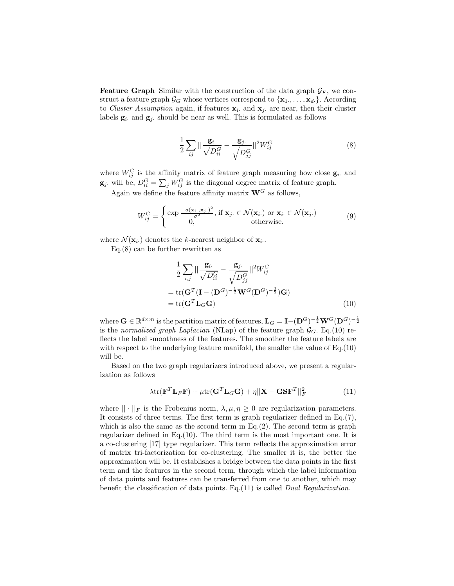**Feature Graph** Similar with the construction of the data graph  $\mathcal{G}_F$ , we construct a feature graph  $\mathcal{G}_G$  whose vertices correspond to  $\{\mathbf{x}_1, \dots, \mathbf{x}_d\}$ . According to Cluster Assumption again, if features  $x_i$  and  $x_j$  are near, then their cluster labels  $g_i$  and  $g_j$  should be near as well. This is formulated as follows

$$
\frac{1}{2} \sum_{ij} \left| \frac{\mathbf{g}_i}{\sqrt{D_{ii}^G}} - \frac{\mathbf{g}_j}{\sqrt{D_{jj}^G}} \right| \right|^2 W_{ij}^G \tag{8}
$$

where  $W_{ij}^G$  is the affinity matrix of feature graph measuring how close  $\mathbf{g}_i$  and  $\mathbf{g}_j$  will be,  $D_{ii}^G = \sum_j W_{ij}^G$  is the diagonal degree matrix of feature graph.

Again we define the feature affinity matrix  $\mathbf{W}^G$  as follows,

$$
W_{ij}^G = \begin{cases} \exp \frac{-d(\mathbf{x}_i, \mathbf{x}_j.)^2}{\sigma^2}, \text{ if } \mathbf{x}_j. \in \mathcal{N}(\mathbf{x}_i.) \text{ or } \mathbf{x}_i. \in \mathcal{N}(\mathbf{x}_j.)\\ 0, \text{ otherwise.} \end{cases} \tag{9}
$$

where  $\mathcal{N}(\mathbf{x}_i)$  denotes the k-nearest neighbor of  $\mathbf{x}_i$ .

Eq.(8) can be further rewritten as

$$
\frac{1}{2} \sum_{i,j} \left\| \frac{\mathbf{g}_i}{\sqrt{D_{ii}^G}} - \frac{\mathbf{g}_j}{\sqrt{D_{jj}^G}} \right\|^2 W_{ij}^G
$$
\n
$$
= \text{tr}(\mathbf{G}^T (\mathbf{I} - (\mathbf{D}^G)^{-\frac{1}{2}} \mathbf{W}^G (\mathbf{D}^G)^{-\frac{1}{2}}) \mathbf{G})
$$
\n
$$
= \text{tr}(\mathbf{G}^T \mathbf{L}_G \mathbf{G}) \tag{10}
$$

where  $\mathbf{G} \in \mathbb{R}^{d \times m}$  is the partition matrix of features,  $\mathbf{L}_G = \mathbf{I} - (\mathbf{D}^G)^{-\frac{1}{2}} \mathbf{W}^G (\mathbf{D}^G)^{-\frac{1}{2}}$ is the normalized graph Laplacian (NLap) of the feature graph  $\mathcal{G}_G$ . Eq.(10) reflects the label smoothness of the features. The smoother the feature labels are with respect to the underlying feature manifold, the smaller the value of Eq. (10) will be.

Based on the two graph regularizers introduced above, we present a regularization as follows

$$
\lambda tr(\mathbf{F}^T \mathbf{L}_F \mathbf{F}) + \mu tr(\mathbf{G}^T \mathbf{L}_G \mathbf{G}) + \eta ||\mathbf{X} - \mathbf{G} \mathbf{S} \mathbf{F}^T||_F^2
$$
(11)

where  $|| \cdot ||_F$  is the Frobenius norm,  $\lambda, \mu, \eta \geq 0$  are regularization parameters. It consists of three terms. The first term is graph regularizer defined in  $Eq.(7)$ , which is also the same as the second term in Eq. $(2)$ . The second term is graph regularizer defined in Eq.(10). The third term is the most important one. It is a co-clustering [17] type regularizer. This term reflects the approximation error of matrix tri-factorization for co-clustering. The smaller it is, the better the approximation will be. It establishes a bridge between the data points in the first term and the features in the second term, through which the label information of data points and features can be transferred from one to another, which may benefit the classification of data points. Eq.(11) is called Dual Regularization.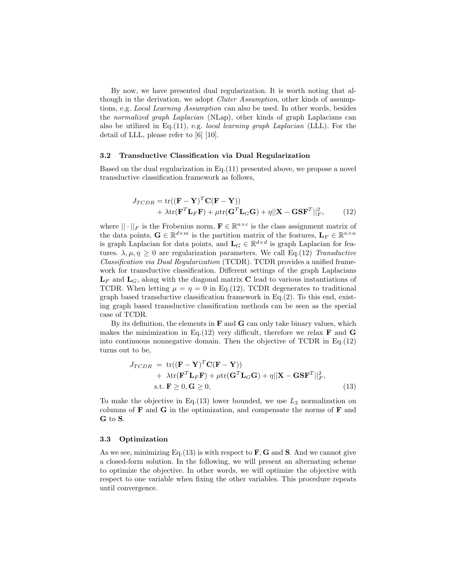By now, we have presented dual regularization. It is worth noting that although in the derivation, we adopt *Cluter Assumption*, other kinds of assumptions, e.g. Local Learning Assumption can also be used. In other words, besides the normalized graph Laplacian (NLap), other kinds of graph Laplacians can also be utilized in Eq.(11), e.g. local learning graph Laplacian (LLL). For the detail of LLL, please refer to [6] [10].

#### 3.2 Transductive Classification via Dual Regularization

Based on the dual regularization in Eq.(11) presented above, we propose a novel transductive classification framework as follows,

$$
J_{TCDR} = \text{tr}((\mathbf{F} - \mathbf{Y})^T \mathbf{C} (\mathbf{F} - \mathbf{Y}))
$$
  
+ \lambda \text{tr}(\mathbf{F}^T \mathbf{L}\_F \mathbf{F}) + \mu \text{tr}(\mathbf{G}^T \mathbf{L}\_G \mathbf{G}) + \eta ||\mathbf{X} - \mathbf{G} \mathbf{S} \mathbf{F}^T||\_F^2, (12)

where  $\|\cdot\|_F$  is the Frobenius norm,  $\mathbf{F} \in \mathbb{R}^{n \times c}$  is the class assignment matrix of the data points,  $\mathbf{G} \in \mathbb{R}^{d \times m}$  is the partition matrix of the features,  $\mathbf{L}_F \in \mathbb{R}^{n \times n}$ is graph Laplacian for data points, and  $\mathbf{L}_G \in \mathbb{R}^{d \times d}$  is graph Laplacian for features.  $\lambda, \mu, \eta \geq 0$  are regularization parameters. We call Eq.(12) Transductive Classification via Dual Regularization (TCDR). TCDR provides a unified framework for transductive classification. Different settings of the graph Laplacians  $L_F$  and  $L_G$ , along with the diagonal matrix C lead to various instantiations of TCDR. When letting  $\mu = \eta = 0$  in Eq.(12), TCDR degenerates to traditional graph based transductive classification framework in Eq. $(2)$ . To this end, existing graph based transductive classification methods can be seen as the special case of TCDR.

By its definition, the elements in  $\bf{F}$  and  $\bf{G}$  can only take binary values, which makes the minimization in Eq.(12) very difficult, therefore we relax  $\bf{F}$  and  $\bf{G}$ into continuous nonnegative domain. Then the objective of TCDR in  $Eq.(12)$ turns out to be,

$$
J_{TCDR} = \text{tr}((\mathbf{F} - \mathbf{Y})^T \mathbf{C} (\mathbf{F} - \mathbf{Y})) + \lambda \text{tr}(\mathbf{F}^T \mathbf{L}_F \mathbf{F}) + \mu \text{tr}(\mathbf{G}^T \mathbf{L}_G \mathbf{G}) + \eta ||\mathbf{X} - \mathbf{G} \mathbf{S} \mathbf{F}^T||_F^2, \text{s.t. } \mathbf{F} \ge 0, \mathbf{G} \ge 0,
$$
\n(13)

To make the objective in Eq.(13) lower bounded, we use  $L_2$  normalization on columns of  $\bf{F}$  and  $\bf{G}$  in the optimization, and compensate the norms of  $\bf{F}$  and G to S.

### 3.3 Optimization

As we see, minimizing Eq. (13) is with respect to  $\mathbf{F}$ , G and S. And we cannot give a closed-form solution. In the following, we will present an alternating scheme to optimize the objective. In other words, we will optimize the objective with respect to one variable when fixing the other variables. This procedure repeats until convergence.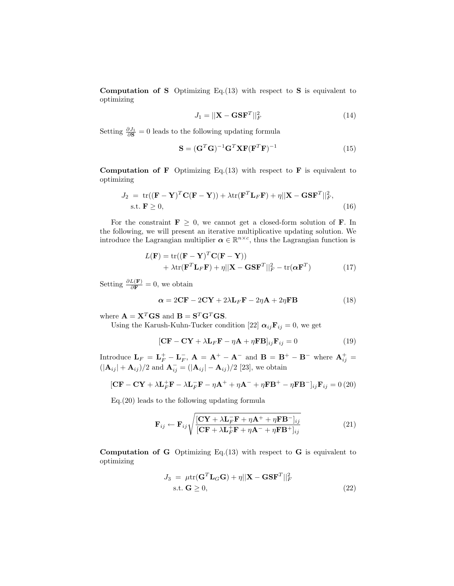**Computation of S** Optimizing Eq.(13) with respect to  $S$  is equivalent to optimizing

$$
J_1 = ||\mathbf{X} - \mathbf{G}\mathbf{S}\mathbf{F}^T||_F^2 \tag{14}
$$

Setting  $\frac{\partial J_1}{\partial S} = 0$  leads to the following updating formula

$$
\mathbf{S} = (\mathbf{G}^T \mathbf{G})^{-1} \mathbf{G}^T \mathbf{X} \mathbf{F} (\mathbf{F}^T \mathbf{F})^{-1}
$$
(15)

Computation of F Optimizing Eq.(13) with respect to F is equivalent to optimizing

$$
J_2 = \text{tr}((\mathbf{F} - \mathbf{Y})^T \mathbf{C} (\mathbf{F} - \mathbf{Y})) + \lambda \text{tr}(\mathbf{F}^T \mathbf{L}_F \mathbf{F}) + \eta ||\mathbf{X} - \mathbf{G} \mathbf{S} \mathbf{F}^T||_F^2,
$$
  
s.t.  $\mathbf{F} \ge 0$ , (16)

For the constraint  $\mathbf{F} \geq 0$ , we cannot get a closed-form solution of **F**. In the following, we will present an iterative multiplicative updating solution. We introduce the Lagrangian multiplier  $\boldsymbol{\alpha} \in \mathbb{R}^{n \times c}$ , thus the Lagrangian function is

$$
L(\mathbf{F}) = \text{tr}((\mathbf{F} - \mathbf{Y})^T \mathbf{C} (\mathbf{F} - \mathbf{Y}))
$$
  
+  $\lambda \text{tr}(\mathbf{F}^T \mathbf{L}_F \mathbf{F}) + \eta ||\mathbf{X} - \mathbf{G} \mathbf{S} \mathbf{F}^T||_F^2 - \text{tr}(\boldsymbol{\alpha} \mathbf{F}^T)$  (17)

Setting  $\frac{\partial L(\mathbf{F})}{\partial \mathbf{F}} = 0$ , we obtain

$$
\alpha = 2CF - 2CY + 2\lambda \mathbf{L}_F \mathbf{F} - 2\eta \mathbf{A} + 2\eta \mathbf{F} \mathbf{B}
$$
 (18)

where  $\mathbf{A} = \mathbf{X}^T \mathbf{G} \mathbf{S}$  and  $\mathbf{B} = \mathbf{S}^T \mathbf{G}^T \mathbf{G} \mathbf{S}$ .

Using the Karush-Kuhn-Tucker condition [22]  $\alpha_{ij}F_{ij} = 0$ , we get

$$
[\mathbf{CF} - \mathbf{CY} + \lambda \mathbf{L}_F \mathbf{F} - \eta \mathbf{A} + \eta \mathbf{FB}]_{ij} \mathbf{F}_{ij} = 0
$$
\n(19)

Introduce  $\mathbf{L}_F = \mathbf{L}_F^+ - \mathbf{L}_F^-$ ,  $\mathbf{A} = \mathbf{A}^+ - \mathbf{A}^-$  and  $\mathbf{B} = \mathbf{B}^+ - \mathbf{B}^-$  where  $\mathbf{A}_{ij}^+$  $(|{\bf A}_{ij}| + {\bf A}_{ij})/2$  and  ${\bf A}_{ij}^- = (|{\bf A}_{ij}| - {\bf A}_{ij})/2$  [23], we obtain

$$
[\mathbf{CF} - \mathbf{CY} + \lambda \mathbf{L}_F^+ \mathbf{F} - \lambda \mathbf{L}_F^- \mathbf{F} - \eta \mathbf{A}^+ + \eta \mathbf{A}^- + \eta \mathbf{F} \mathbf{B}^+ - \eta \mathbf{F} \mathbf{B}^-]_{ij} \mathbf{F}_{ij} = 0 \ (20)
$$

Eq.(20) leads to the following updating formula

$$
\mathbf{F}_{ij} \leftarrow \mathbf{F}_{ij} \sqrt{\frac{\left[\mathbf{C}\mathbf{Y} + \lambda \mathbf{L}_F^- \mathbf{F} + \eta \mathbf{A}^+ + \eta \mathbf{F} \mathbf{B}^- \right]_{ij}}{\left[\mathbf{C}\mathbf{F} + \lambda \mathbf{L}_F^+ \mathbf{F} + \eta \mathbf{A}^- + \eta \mathbf{F} \mathbf{B}^+ \right]_{ij}}}
$$
(21)

**Computation of G** Optimizing Eq.(13) with respect to  $G$  is equivalent to optimizing

$$
J_3 = \mu \text{tr}(\mathbf{G}^T \mathbf{L}_G \mathbf{G}) + \eta ||\mathbf{X} - \mathbf{G} \mathbf{S} \mathbf{F}^T||_F^2
$$
  
s.t.  $\mathbf{G} \ge 0$ , (22)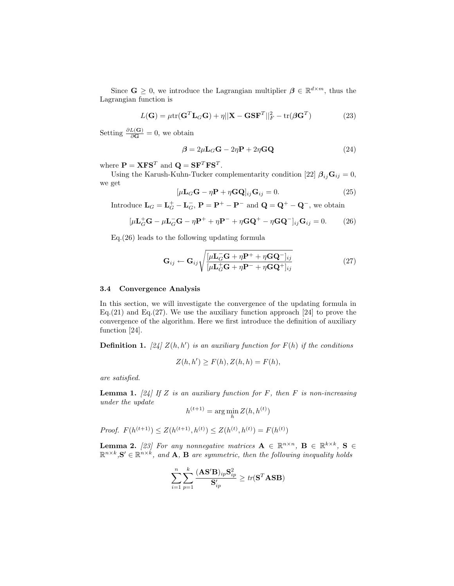Since  $\mathbf{G} \geq 0$ , we introduce the Lagrangian multiplier  $\beta \in \mathbb{R}^{d \times m}$ , thus the Lagrangian function is

$$
L(\mathbf{G}) = \mu \text{tr}(\mathbf{G}^T \mathbf{L}_G \mathbf{G}) + \eta ||\mathbf{X} - \mathbf{G} \mathbf{S} \mathbf{F}^T||_F^2 - \text{tr}(\beta \mathbf{G}^T)
$$
(23)

Setting  $\frac{\partial L(\mathbf{G})}{\partial \mathbf{G}} = 0$ , we obtain

$$
\beta = 2\mu \mathbf{L}_G \mathbf{G} - 2\eta \mathbf{P} + 2\eta \mathbf{G} \mathbf{Q}
$$
 (24)

where  $\mathbf{P} = \mathbf{X} \mathbf{F} \mathbf{S}^T$  and  $\mathbf{Q} = \mathbf{S} \mathbf{F}^T \mathbf{F} \mathbf{S}^T$ .

Using the Karush-Kuhn-Tucker complementarity condition [22]  $\beta_{ij}$  G<sub>ij</sub> = 0, we get

$$
[\mu \mathbf{L}_G \mathbf{G} - \eta \mathbf{P} + \eta \mathbf{G} \mathbf{Q}]_{ij} \mathbf{G}_{ij} = 0.
$$
 (25)

Introduce  $\mathbf{L}_G = \mathbf{L}_G^+ - \mathbf{L}_G^-$ ,  $\mathbf{P} = \mathbf{P}^+ - \mathbf{P}^-$  and  $\mathbf{Q} = \mathbf{Q}^+ - \mathbf{Q}^-$ , we obtain

$$
[\mu \mathbf{L}_G^+ \mathbf{G} - \mu \mathbf{L}_G^- \mathbf{G} - \eta \mathbf{P}^+ + \eta \mathbf{P}^- + \eta \mathbf{G} \mathbf{Q}^+ - \eta \mathbf{G} \mathbf{Q}^-]_{ij} \mathbf{G}_{ij} = 0.
$$
 (26)

Eq.(26) leads to the following updating formula

$$
\mathbf{G}_{ij} \leftarrow \mathbf{G}_{ij} \sqrt{\frac{\left[\mu \mathbf{L}_{G}^{-} \mathbf{G} + \eta \mathbf{P}^{+} + \eta \mathbf{G} \mathbf{Q}^{-}\right]_{ij}}{\left[\mu \mathbf{L}_{G}^{+} \mathbf{G} + \eta \mathbf{P}^{-} + \eta \mathbf{G} \mathbf{Q}^{+}\right]_{ij}}}
$$
(27)

#### 3.4 Convergence Analysis

In this section, we will investigate the convergence of the updating formula in Eq.(21) and Eq.(27). We use the auxiliary function approach  $[24]$  to prove the convergence of the algorithm. Here we first introduce the definition of auxiliary function [24].

**Definition 1.** [24]  $Z(h, h')$  is an auxiliary function for  $F(h)$  if the conditions

$$
Z(h, h') \ge F(h), Z(h, h) = F(h),
$$

are satisfied.

**Lemma 1.** [24] If Z is an auxiliary function for F, then F is non-increasing under the update

$$
h^{(t+1)} = \arg\min_{h} Z(h, h^{(t)})
$$

*Proof.*  $F(h^{(t+1)}) \leq Z(h^{(t+1)}, h^{(t)}) \leq Z(h^{(t)}, h^{(t)}) = F(h^{(t)})$ 

**Lemma 2.** [23] For any nonnegative matrices  $A \in \mathbb{R}^{n \times n}$ ,  $B \in \mathbb{R}^{k \times k}$ ,  $S \in$  $\mathbb{R}^{n\times k}, \mathbf{S}'\in\mathbb{R}^{n\times k}$ , and **A**, **B** are symmetric, then the following inequality holds

$$
\sum_{i=1}^{n} \sum_{p=1}^{k} \frac{\mathbf{(AS'B)}_{ip} \mathbf{S}_{ip}^2}{\mathbf{S}_{ip}'} \ge tr(\mathbf{S}^T \mathbf{ASB})
$$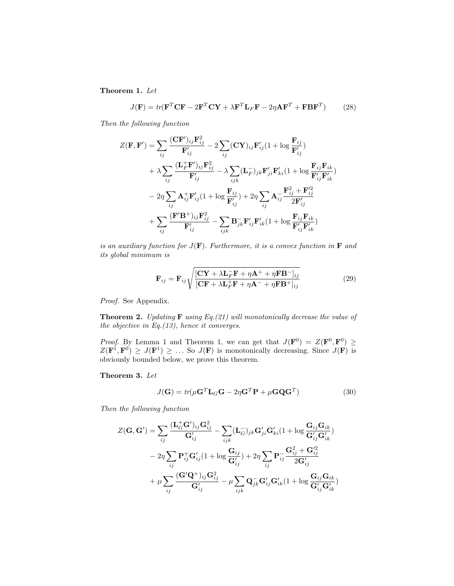Theorem 1. Let

$$
J(\mathbf{F}) = tr(\mathbf{F}^T \mathbf{C} \mathbf{F} - 2\mathbf{F}^T \mathbf{C} \mathbf{Y} + \lambda \mathbf{F}^T \mathbf{L}_F \mathbf{F} - 2\eta \mathbf{A} \mathbf{F}^T + \mathbf{F} \mathbf{B} \mathbf{F}^T)
$$
(28)

Then the following function

$$
Z(\mathbf{F}, \mathbf{F}') = \sum_{ij} \frac{(\mathbf{C}\mathbf{F}')_{ij}\mathbf{F}_{ij}^2}{\mathbf{F}_{ij}'} - 2\sum_{ij} (\mathbf{C}\mathbf{Y})_{ij}\mathbf{F}_{ij}' (1 + \log \frac{\mathbf{F}_{ij}}{\mathbf{F}_{ij}'} )
$$
  
+  $\lambda \sum_{ij} \frac{(\mathbf{L}_{F}^{+}\mathbf{F}')_{ij}\mathbf{F}_{ij}^2}{\mathbf{F}_{ij}'} - \lambda \sum_{ijk} (\mathbf{L}_{F}^{-})_{jk}\mathbf{F}_{ji}'\mathbf{F}_{ki}' (1 + \log \frac{\mathbf{F}_{ij}\mathbf{F}_{ik}}{\mathbf{F}_{ij}'\mathbf{F}_{ik}'} )$   
-  $2\eta \sum_{ij} \mathbf{A}_{ij}^{+} \mathbf{F}_{ij}' (1 + \log \frac{\mathbf{F}_{ij}}{\mathbf{F}_{ij}'} ) + 2\eta \sum_{ij} \mathbf{A}_{ij}^{-} \frac{\mathbf{F}_{ij}^2 + \mathbf{F}_{ij}^{\prime 2}}{2\mathbf{F}_{ij}'} \newline + \sum_{ij} \frac{(\mathbf{F}'\mathbf{B}^{+})_{ij}\mathbf{F}_{ij}^2}{\mathbf{F}_{ij}'} - \sum_{ijk} \mathbf{B}_{jk}^{-} \mathbf{F}_{ij}'\mathbf{F}_{ik}' (1 + \log \frac{\mathbf{F}_{ij}\mathbf{F}_{ik}}{\mathbf{F}_{ij}'\mathbf{F}_{ik}'} )$ 

is an auxiliary function for  $J(\mathbf{F})$ . Furthermore, it is a convex function in  $\mathbf{F}$  and its global minimum is

$$
\mathbf{F}_{ij} = \mathbf{F}_{ij} \sqrt{\frac{[\mathbf{C}\mathbf{Y} + \lambda \mathbf{L}_F^- \mathbf{F} + \eta \mathbf{A}^+ + \eta \mathbf{F} \mathbf{B}^-]_{ij}}{[\mathbf{C}\mathbf{F} + \lambda \mathbf{L}_F^+ \mathbf{F} + \eta \mathbf{A}^- + \eta \mathbf{F} \mathbf{B}^+]_{ij}}}
$$
(29)

Proof. See Appendix.

**Theorem 2.** Updating  $\mathbf{F}$  using Eq.(21) will monotonically decrease the value of the objective in Eq. $(13)$ , hence it converges.

*Proof.* By Lemma 1 and Theorem 1, we can get that  $J(\mathbf{F}^{0}) = Z(\mathbf{F}^{0}, \mathbf{F}^{0}) \geq$  $Z(\mathbf{F}^1, \mathbf{F}^0) \geq J(\mathbf{F}^1) \geq \ldots$  So  $J(\mathbf{F})$  is monotonically decreasing. Since  $J(\mathbf{F})$  is obviously bounded below, we prove this theorem.

Theorem 3. Let

$$
J(\mathbf{G}) = tr(\mu \mathbf{G}^T \mathbf{L}_G \mathbf{G} - 2\eta \mathbf{G}^T \mathbf{P} + \mu \mathbf{G} \mathbf{Q} \mathbf{G}^T)
$$
(30)

Then the following function

$$
\begin{aligned} Z(\mathbf{G},\mathbf{G}') &= \sum_{ij} \frac{(\mathbf{L}_G^+\mathbf{G}')_{ij}\mathbf{G}_{ij}^2}{\mathbf{G}'_{ij}} - \sum_{ijk} (\mathbf{L}_G^-)_{jk}\mathbf{G}'_{ji}\mathbf{G}'_{ki} (1+\log\frac{\mathbf{G}_{ij}\mathbf{G}_{ik}}{\mathbf{G}'_{ij}\mathbf{G}'_{ik}}) \\ &- 2\eta \sum_{ij} \mathbf{P}_{ij}^+\mathbf{G}'_{ij} (1+\log\frac{\mathbf{G}_{ij}}{\mathbf{G}'_{ij}}) + 2\eta \sum_{ij} \mathbf{P}_{ij}^-\frac{\mathbf{G}_{ij}^2+\mathbf{G}'_{ij}^2}{2\mathbf{G}'_{ij}} \\ &+ \mu \sum_{ij} \frac{(\mathbf{G}'\mathbf{Q}^+)_{ij}\mathbf{G}_{ij}^2}{\mathbf{G}'_{ij}} - \mu \sum_{ijk} \mathbf{Q}_{jk}^-\mathbf{G}'_{ij}\mathbf{G}'_{ik} (1+\log\frac{\mathbf{G}_{ij}\mathbf{G}_{ik}}{\mathbf{G}'_{ij}\mathbf{G}'_{ik}}) \end{aligned}
$$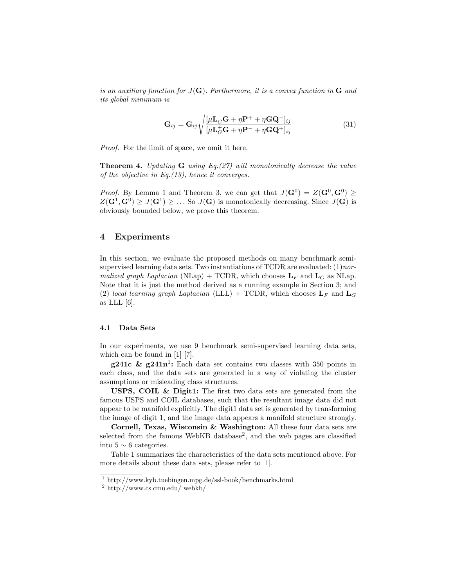is an auxiliary function for  $J(G)$ . Furthermore, it is a convex function in G and its global minimum is

$$
\mathbf{G}_{ij} = \mathbf{G}_{ij} \sqrt{\frac{\left[\mu \mathbf{L}_{G}^{-} \mathbf{G} + \eta \mathbf{P}^{+} + \eta \mathbf{G} \mathbf{Q}^{-}\right]_{ij}}{\left[\mu \mathbf{L}_{G}^{+} \mathbf{G} + \eta \mathbf{P}^{-} + \eta \mathbf{G} \mathbf{Q}^{+}\right]_{ij}}}
$$
(31)

Proof. For the limit of space, we omit it here.

**Theorem 4.** Updating  $G$  using  $Eq. (27)$  will monotonically decrease the value of the objective in Eq.  $(13)$ , hence it converges.

*Proof.* By Lemma 1 and Theorem 3, we can get that  $J(\mathbf{G}^0) = Z(\mathbf{G}^0, \mathbf{G}^0) \geq$  $Z(\mathbf{G}^1, \mathbf{G}^0) \geq J(\mathbf{G}^1) \geq \ldots$  So  $J(\mathbf{G})$  is monotonically decreasing. Since  $J(\mathbf{G})$  is obviously bounded below, we prove this theorem.

## 4 Experiments

In this section, we evaluate the proposed methods on many benchmark semisupervised learning data sets. Two instantiations of TCDR are evaluated:  $(1)$  normalized graph Laplacian (NLap) + TCDR, which chooses  $L_F$  and  $L_G$  as NLap. Note that it is just the method derived as a running example in Section 3; and (2) local learning graph Laplacian (LLL) + TCDR, which chooses  $L_F$  and  $L_G$ as LLL [6].

#### 4.1 Data Sets

In our experiments, we use 9 benchmark semi-supervised learning data sets, which can be found in [1] [7].

 $g241c \& g241n^1$ : Each data set contains two classes with 350 points in each class, and the data sets are generated in a way of violating the cluster assumptions or misleading class structures.

USPS, COIL & Digit1: The first two data sets are generated from the famous USPS and COIL databases, such that the resultant image data did not appear to be manifold explicitly. The digit1 data set is generated by transforming the image of digit 1, and the image data appears a manifold structure strongly.

Cornell, Texas, Wisconsin & Washington: All these four data sets are selected from the famous WebKB database<sup>2</sup>, and the web pages are classified into 5 ∼ 6 categories.

Table 1 summarizes the characteristics of the data sets mentioned above. For more details about these data sets, please refer to [1].

<sup>1</sup> http://www.kyb.tuebingen.mpg.de/ssl-book/benchmarks.html

<sup>2</sup> http://www.cs.cmu.edu/ webkb/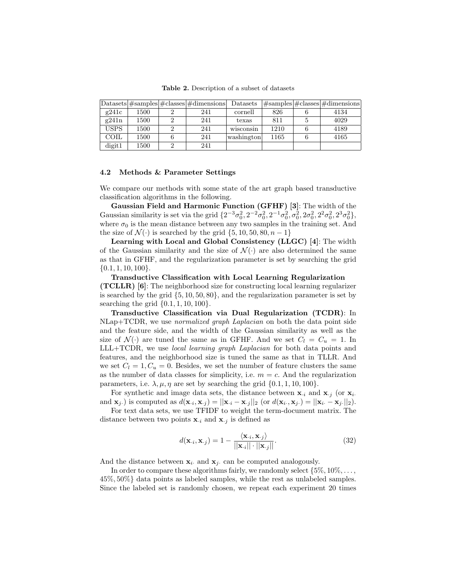Table 2. Description of a subset of datasets

|             |      | $ D{\rm datasets} $ #samples $ #{\rm classes} $ #dimensions | Datasets   |      | $ \#$ samples $ \#$ classes $ \#$ dimensions |
|-------------|------|-------------------------------------------------------------|------------|------|----------------------------------------------|
| g241c       | 1500 | 241                                                         | cornell    | 826  | 4134                                         |
| g241n       | 1500 | 241                                                         | texas      | 811  | 4029                                         |
| <b>USPS</b> | 1500 | 241                                                         | wisconsin  | 1210 | 4189                                         |
| <b>COIL</b> | 1500 | 241                                                         | washington | 1165 | 4165                                         |
| $digit1$    | 1500 | 241                                                         |            |      |                                              |

#### 4.2 Methods & Parameter Settings

We compare our methods with some state of the art graph based transductive classification algorithms in the following.

Gaussian Field and Harmonic Function (GFHF) [3]: The width of the Gaussian similarity is set via the grid  $\{2^{-3}\sigma_0^2, 2^{-2}\sigma_0^2, 2^{-1}\sigma_0^2, \sigma_0^2, 2\sigma_0^2, 2^2\sigma_0^2, 2^3\sigma_0^2\},$ where  $\sigma_0$  is the mean distance between any two samples in the training set. And the size of  $\mathcal{N}(\cdot)$  is searched by the grid  $\{5, 10, 50, 80, n-1\}$ 

Learning with Local and Global Consistency (LLGC) [4]: The width of the Gaussian similarity and the size of  $\mathcal{N}(\cdot)$  are also determined the same as that in GFHF, and the regularization parameter is set by searching the grid  $\{0.1, 1, 10, 100\}.$ 

Transductive Classification with Local Learning Regularization (TCLLR) [6]: The neighborhood size for constructing local learning regularizer is searched by the grid  $\{5, 10, 50, 80\}$ , and the regularization parameter is set by searching the grid  $\{0.1, 1, 10, 100\}.$ 

Transductive Classification via Dual Regularization (TCDR): In NLap+TCDR, we use normalized graph Laplacian on both the data point side and the feature side, and the width of the Gaussian similarity as well as the size of  $\mathcal{N}(\cdot)$  are tuned the same as in GFHF. And we set  $C_l = C_u = 1$ . In LLL+TCDR, we use local learning graph Laplacian for both data points and features, and the neighborhood size is tuned the same as that in TLLR. And we set  $C_l = 1, C_u = 0$ . Besides, we set the number of feature clusters the same as the number of data classes for simplicity, i.e.  $m = c$ . And the regularization parameters, i.e.  $\lambda, \mu, \eta$  are set by searching the grid  $\{0.1, 1, 10, 100\}.$ 

For synthetic and image data sets, the distance between  $\mathbf{x}_{i}$  and  $\mathbf{x}_{j}$  (or  $\mathbf{x}_{i}$ . and  $\mathbf{x}_j$ .) is computed as  $d(\mathbf{x}_i, \mathbf{x}_{i,j}) = ||\mathbf{x}_i - \mathbf{x}_{i,j}||_2$  (or  $d(\mathbf{x}_i, \mathbf{x}_{j}.) = ||\mathbf{x}_i - \mathbf{x}_{j}||_2$ ).

For text data sets, we use TFIDF to weight the term-document matrix. The distance between two points  $\mathbf{x}_{i}$  and  $\mathbf{x}_{j}$  is defined as

$$
d(\mathbf{x}_{\cdot i}, \mathbf{x}_{\cdot j}) = 1 - \frac{\langle \mathbf{x}_{\cdot i}, \mathbf{x}_{\cdot j} \rangle}{||\mathbf{x}_{\cdot i}|| \cdot ||\mathbf{x}_{\cdot j}||}.
$$
 (32)

And the distance between  $\mathbf{x}_i$  and  $\mathbf{x}_j$  can be computed analogously.

In order to compare these algorithms fairly, we randomly select  $\{5\%, 10\%, \ldots,$ 45%, 50%} data points as labeled samples, while the rest as unlabeled samples. Since the labeled set is randomly chosen, we repeat each experiment 20 times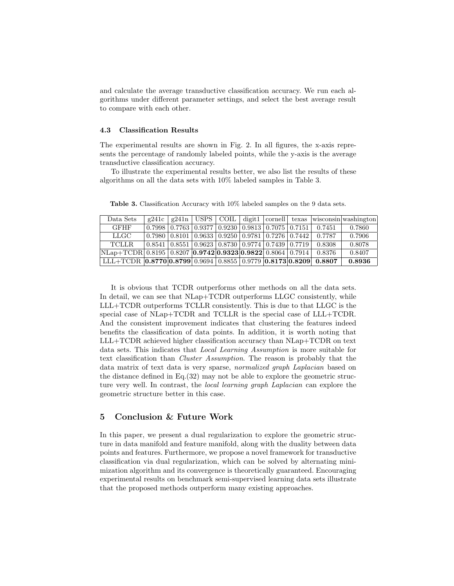and calculate the average transductive classification accuracy. We run each algorithms under different parameter settings, and select the best average result to compare with each other.

### 4.3 Classification Results

The experimental results are shown in Fig. 2. In all figures, the x-axis represents the percentage of randomly labeled points, while the y-axis is the average transductive classification accuracy.

To illustrate the experimental results better, we also list the results of these algorithms on all the data sets with 10% labeled samples in Table 3.

| Data Sets                                                                                    | $\varrho$ 241 $\mathrm{c}$ |  |  |  |                                                                                                   | $g241n$   USPS   COIL   digit1   cornell   texas   wisconsin   washington |
|----------------------------------------------------------------------------------------------|----------------------------|--|--|--|---------------------------------------------------------------------------------------------------|---------------------------------------------------------------------------|
| <b>GFHF</b>                                                                                  |                            |  |  |  | $\mid 0.7998 \mid 0.7763 \mid 0.9377 \mid 0.9230 \mid 0.9813 \mid 0.7075 \mid 0.7151 \mid 0.7451$ | 0.7860                                                                    |
| LLGC                                                                                         |                            |  |  |  | $\mid 0.7980 \mid 0.8101 \mid 0.9633 \mid 0.9250 \mid 0.9781 \mid 0.7276 \mid 0.7442 \mid 0.7787$ | 0.7906                                                                    |
| <b>TCLLR</b>                                                                                 |                            |  |  |  | $\mid 0.8541 \mid 0.8551 \mid 0.9623 \mid 0.8730 \mid 0.9774 \mid 0.7439 \mid 0.7719 \mid 0.8308$ | 0.8078                                                                    |
| $\overline{\text{NLap+TCDR}}$ 0.8195 0.8207 <b>0.9742 0.9323 0.9822</b> 0.8064 0.7914 0.8376 |                            |  |  |  |                                                                                                   | 0.8407                                                                    |
| $\sqrt{\text{LLL}+\text{TCDR}}$ 0.8770 0.8799 0.9694 0.8855 0.9779 0.8173 0.8209 0.8807      |                            |  |  |  |                                                                                                   | 0.8936                                                                    |

Table 3. Classification Accuracy with 10% labeled samples on the 9 data sets.

It is obvious that TCDR outperforms other methods on all the data sets. In detail, we can see that NLap+TCDR outperforms LLGC consistently, while LLL+TCDR outperforms TCLLR consistently. This is due to that LLGC is the special case of NLap+TCDR and TCLLR is the special case of LLL+TCDR. And the consistent improvement indicates that clustering the features indeed benefits the classification of data points. In addition, it is worth noting that LLL+TCDR achieved higher classification accuracy than NLap+TCDR on text data sets. This indicates that Local Learning Assumption is more suitable for text classification than Cluster Assumption. The reason is probably that the data matrix of text data is very sparse, normalized graph Laplacian based on the distance defined in Eq.(32) may not be able to explore the geometric structure very well. In contrast, the local learning graph Laplacian can explore the geometric structure better in this case.

## 5 Conclusion & Future Work

In this paper, we present a dual regularization to explore the geometric structure in data manifold and feature manifold, along with the duality between data points and features. Furthermore, we propose a novel framework for transductive classification via dual regularization, which can be solved by alternating minimization algorithm and its convergence is theoretically guaranteed. Encouraging experimental results on benchmark semi-supervised learning data sets illustrate that the proposed methods outperform many existing approaches.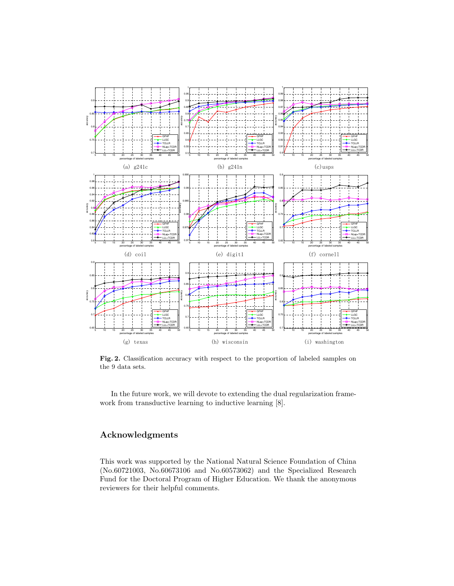

Fig. 2. Classification accuracy with respect to the proportion of labeled samples on the 9 data sets.

In the future work, we will devote to extending the dual regularization framework from transductive learning to inductive learning [8].

## Acknowledgments

This work was supported by the National Natural Science Foundation of China (No.60721003, No.60673106 and No.60573062) and the Specialized Research Fund for the Doctoral Program of Higher Education. We thank the anonymous reviewers for their helpful comments.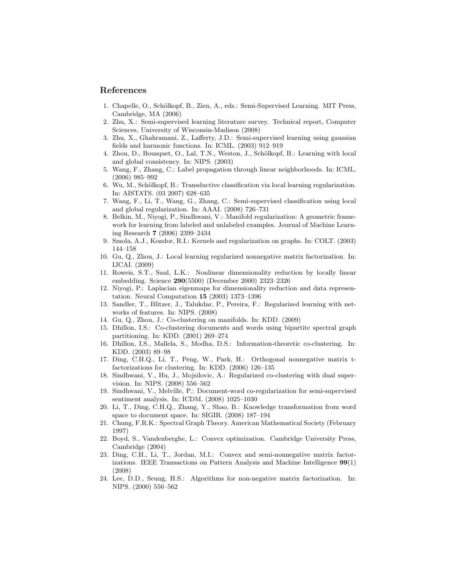## References

- 1. Chapelle, O., Schölkopf, B., Zien, A., eds.: Semi-Supervised Learning. MIT Press, Cambridge, MA (2006)
- 2. Zhu, X.: Semi-supervised learning literature survey. Technical report, Computer Sciences, University of Wisconsin-Madison (2008)
- 3. Zhu, X., Ghahramani, Z., Lafferty, J.D.: Semi-supervised learning using gaussian fields and harmonic functions. In: ICML. (2003) 912–919
- 4. Zhou, D., Bousquet, O., Lal, T.N., Weston, J., Schölkopf, B.: Learning with local and global consistency. In: NIPS. (2003)
- 5. Wang, F., Zhang, C.: Label propagation through linear neighborhoods. In: ICML. (2006) 985–992
- 6. Wu, M., Schölkopf, B.: Transductive classification via local learning regularization. In: AISTATS. (03 2007) 628–635
- 7. Wang, F., Li, T., Wang, G., Zhang, C.: Semi-supervised classification using local and global regularization. In: AAAI. (2008) 726–731
- 8. Belkin, M., Niyogi, P., Sindhwani, V.: Manifold regularization: A geometric framework for learning from labeled and unlabeled examples. Journal of Machine Learning Research 7 (2006) 2399–2434
- 9. Smola, A.J., Kondor, R.I.: Kernels and regularization on graphs. In: COLT. (2003) 144–158
- 10. Gu, Q., Zhou, J.: Local learning regularized nonnegative matrix factorization. In: IJCAI. (2009)
- 11. Roweis, S.T., Saul, L.K.: Nonlinear dimensionality reduction by locally linear embedding. Science 290(5500) (December 2000) 2323–2326
- 12. Niyogi, P.: Laplacian eigenmaps for dimensionality reduction and data representation. Neural Computation 15 (2003) 1373–1396
- 13. Sandler, T., Blitzer, J., Talukdar, P., Pereira, F.: Regularized learning with networks of features. In: NIPS. (2008)
- 14. Gu, Q., Zhou, J.: Co-clustering on manifolds. In: KDD. (2009)
- 15. Dhillon, I.S.: Co-clustering documents and words using bipartite spectral graph partitioning. In: KDD. (2001) 269–274
- 16. Dhillon, I.S., Mallela, S., Modha, D.S.: Information-theoretic co-clustering. In: KDD. (2003) 89–98
- 17. Ding, C.H.Q., Li, T., Peng, W., Park, H.: Orthogonal nonnegative matrix tfactorizations for clustering. In: KDD. (2006) 126–135
- 18. Sindhwani, V., Hu, J., Mojsilovic, A.: Regularized co-clustering with dual supervision. In: NIPS. (2008) 556–562
- 19. Sindhwani, V., Melville, P.: Document-word co-regularization for semi-supervised sentiment analysis. In: ICDM. (2008) 1025–1030
- 20. Li, T., Ding, C.H.Q., Zhang, Y., Shao, B.: Knowledge transformation from word space to document space. In: SIGIR. (2008) 187–194
- 21. Chung, F.R.K.: Spectral Graph Theory. American Mathematical Society (February 1997)
- 22. Boyd, S., Vandenberghe, L.: Convex optimization. Cambridge University Press, Cambridge (2004)
- 23. Ding, C.H., Li, T., Jordan, M.I.: Convex and semi-nonnegative matrix factorizations. IEEE Transactions on Pattern Analysis and Machine Intelligence 99(1) (2008)
- 24. Lee, D.D., Seung, H.S.: Algorithms for non-negative matrix factorization. In: NIPS. (2000) 556–562